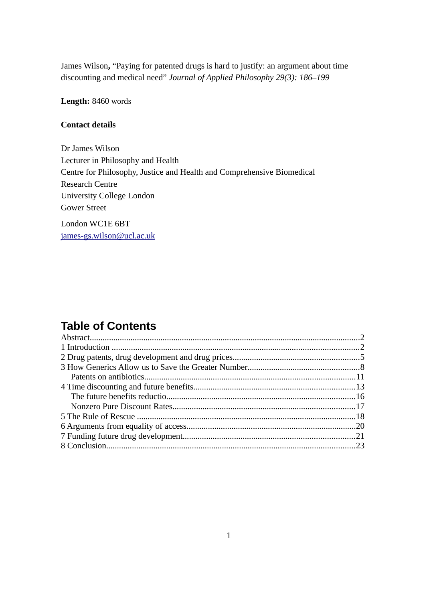James Wilson**,** "Paying for patented drugs is hard to justify: an argument about time discounting and medical need" *Journal of Applied Philosophy 29(3): 186–199*

**Length:** 8460 words

#### **Contact details**

Dr James Wilson Lecturer in Philosophy and Health Centre for Philosophy, Justice and Health and Comprehensive Biomedical Research Centre University College London Gower Street London WC1E 6BT

[james-gs.wilson@ucl.ac.uk](mailto:james-gs.wilson@ucl.ac.uk)

# **Table of Contents**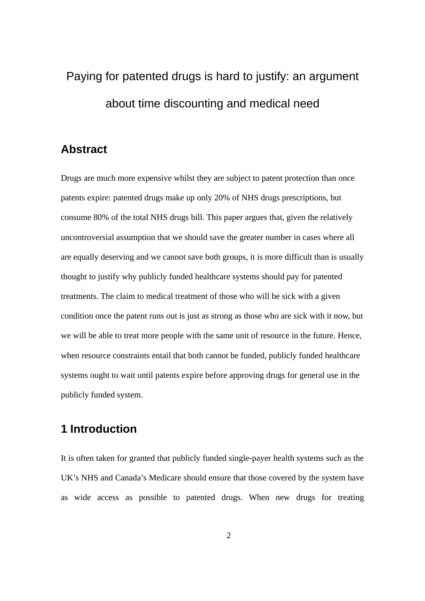# Paying for patented drugs is hard to justify: an argument about time discounting and medical need

## <span id="page-1-0"></span>**Abstract**

Drugs are much more expensive whilst they are subject to patent protection than once patents expire: patented drugs make up only 20% of NHS drugs prescriptions, but consume 80% of the total NHS drugs bill. This paper argues that, given the relatively uncontroversial assumption that we should save the greater number in cases where all are equally deserving and we cannot save both groups, it is more difficult than is usually thought to justify why publicly funded healthcare systems should pay for patented treatments. The claim to medical treatment of those who will be sick with a given condition once the patent runs out is just as strong as those who are sick with it now, but we will be able to treat more people with the same unit of resource in the future. Hence, when resource constraints entail that both cannot be funded, publicly funded healthcare systems ought to wait until patents expire before approving drugs for general use in the publicly funded system.

## <span id="page-1-1"></span>**1 Introduction**

It is often taken for granted that publicly funded single-payer health systems such as the UK's NHS and Canada's Medicare should ensure that those covered by the system have as wide access as possible to patented drugs. When new drugs for treating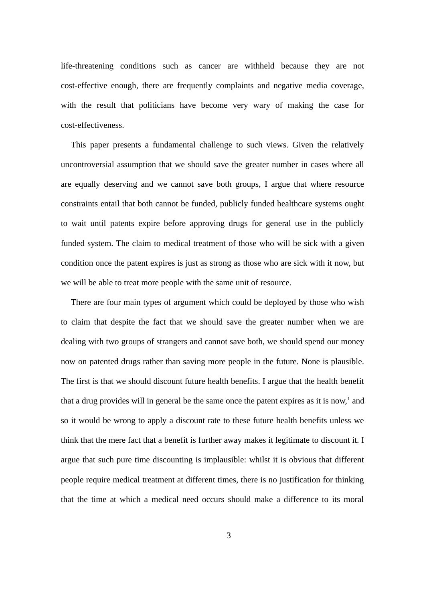life-threatening conditions such as cancer are withheld because they are not cost-effective enough, there are frequently complaints and negative media coverage, with the result that politicians have become very wary of making the case for cost-effectiveness.

This paper presents a fundamental challenge to such views. Given the relatively uncontroversial assumption that we should save the greater number in cases where all are equally deserving and we cannot save both groups, I argue that where resource constraints entail that both cannot be funded, publicly funded healthcare systems ought to wait until patents expire before approving drugs for general use in the publicly funded system. The claim to medical treatment of those who will be sick with a given condition once the patent expires is just as strong as those who are sick with it now, but we will be able to treat more people with the same unit of resource.

There are four main types of argument which could be deployed by those who wish to claim that despite the fact that we should save the greater number when we are dealing with two groups of strangers and cannot save both, we should spend our money now on patented drugs rather than saving more people in the future. None is plausible. The first is that we should discount future health benefits. I argue that the health benefit that a drug provides will in general be the same once the patent expires as it is now,<sup>1</sup> and so it would be wrong to apply a discount rate to these future health benefits unless we think that the mere fact that a benefit is further away makes it legitimate to discount it. I argue that such pure time discounting is implausible: whilst it is obvious that different people require medical treatment at different times, there is no justification for thinking that the time at which a medical need occurs should make a difference to its moral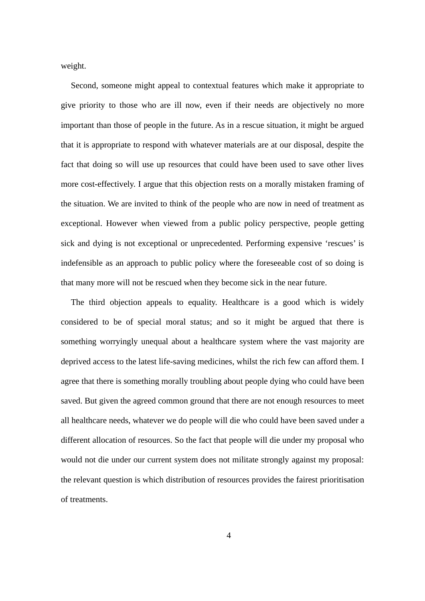weight.

Second, someone might appeal to contextual features which make it appropriate to give priority to those who are ill now, even if their needs are objectively no more important than those of people in the future. As in a rescue situation, it might be argued that it is appropriate to respond with whatever materials are at our disposal, despite the fact that doing so will use up resources that could have been used to save other lives more cost-effectively. I argue that this objection rests on a morally mistaken framing of the situation. We are invited to think of the people who are now in need of treatment as exceptional. However when viewed from a public policy perspective, people getting sick and dying is not exceptional or unprecedented. Performing expensive 'rescues' is indefensible as an approach to public policy where the foreseeable cost of so doing is that many more will not be rescued when they become sick in the near future.

The third objection appeals to equality. Healthcare is a good which is widely considered to be of special moral status; and so it might be argued that there is something worryingly unequal about a healthcare system where the vast majority are deprived access to the latest life-saving medicines, whilst the rich few can afford them. I agree that there is something morally troubling about people dying who could have been saved. But given the agreed common ground that there are not enough resources to meet all healthcare needs, whatever we do people will die who could have been saved under a different allocation of resources. So the fact that people will die under my proposal who would not die under our current system does not militate strongly against my proposal: the relevant question is which distribution of resources provides the fairest prioritisation of treatments.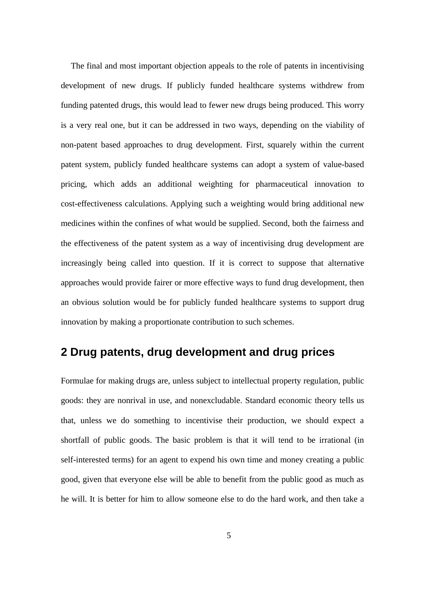The final and most important objection appeals to the role of patents in incentivising development of new drugs. If publicly funded healthcare systems withdrew from funding patented drugs, this would lead to fewer new drugs being produced. This worry is a very real one, but it can be addressed in two ways, depending on the viability of non-patent based approaches to drug development. First, squarely within the current patent system, publicly funded healthcare systems can adopt a system of value-based pricing, which adds an additional weighting for pharmaceutical innovation to cost-effectiveness calculations. Applying such a weighting would bring additional new medicines within the confines of what would be supplied. Second, both the fairness and the effectiveness of the patent system as a way of incentivising drug development are increasingly being called into question. If it is correct to suppose that alternative approaches would provide fairer or more effective ways to fund drug development, then an obvious solution would be for publicly funded healthcare systems to support drug innovation by making a proportionate contribution to such schemes.

# <span id="page-4-0"></span>**2 Drug patents, drug development and drug prices**

Formulae for making drugs are, unless subject to intellectual property regulation, public goods: they are nonrival in use, and nonexcludable. Standard economic theory tells us that, unless we do something to incentivise their production, we should expect a shortfall of public goods. The basic problem is that it will tend to be irrational (in self-interested terms) for an agent to expend his own time and money creating a public good, given that everyone else will be able to benefit from the public good as much as he will. It is better for him to allow someone else to do the hard work, and then take a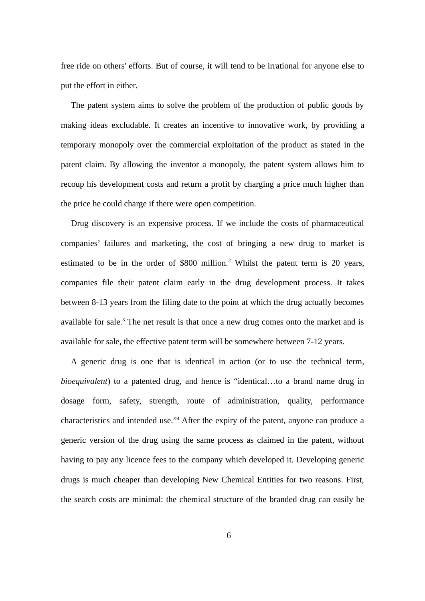free ride on others' efforts. But of course, it will tend to be irrational for anyone else to put the effort in either.

The patent system aims to solve the problem of the production of public goods by making ideas excludable. It creates an incentive to innovative work, by providing a temporary monopoly over the commercial exploitation of the product as stated in the patent claim. By allowing the inventor a monopoly, the patent system allows him to recoup his development costs and return a profit by charging a price much higher than the price he could charge if there were open competition.

Drug discovery is an expensive process. If we include the costs of pharmaceutical companies' failures and marketing, the cost of bringing a new drug to market is estimated to be in the order of \$800 million.<sup>2</sup> Whilst the patent term is 20 years, companies file their patent claim early in the drug development process. It takes between 8-13 years from the filing date to the point at which the drug actually becomes available for sale.<sup>3</sup> The net result is that once a new drug comes onto the market and is available for sale, the effective patent term will be somewhere between 7-12 years.

A generic drug is one that is identical in action (or to use the technical term, *bioequivalent*) to a patented drug, and hence is "identical…to a brand name drug in dosage form, safety, strength, route of administration, quality, performance characteristics and intended use."<sup>4</sup> After the expiry of the patent, anyone can produce a generic version of the drug using the same process as claimed in the patent, without having to pay any licence fees to the company which developed it. Developing generic drugs is much cheaper than developing New Chemical Entities for two reasons. First, the search costs are minimal: the chemical structure of the branded drug can easily be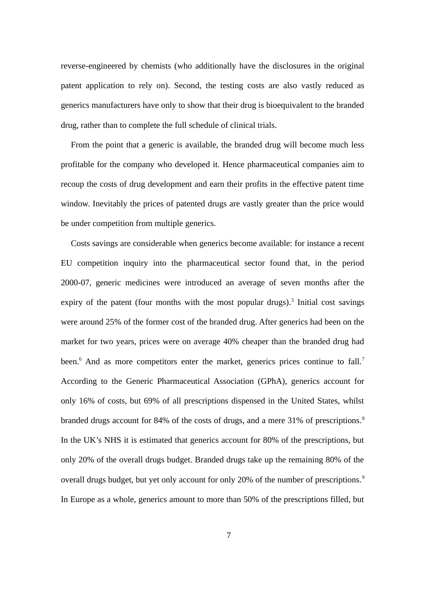reverse-engineered by chemists (who additionally have the disclosures in the original patent application to rely on). Second, the testing costs are also vastly reduced as generics manufacturers have only to show that their drug is bioequivalent to the branded drug, rather than to complete the full schedule of clinical trials.

From the point that a generic is available, the branded drug will become much less profitable for the company who developed it. Hence pharmaceutical companies aim to recoup the costs of drug development and earn their profits in the effective patent time window. Inevitably the prices of patented drugs are vastly greater than the price would be under competition from multiple generics.

Costs savings are considerable when generics become available: for instance a recent EU competition inquiry into the pharmaceutical sector found that, in the period 2000-07, generic medicines were introduced an average of seven months after the expiry of the patent (four months with the most popular drugs).<sup>5</sup> Initial cost savings were around 25% of the former cost of the branded drug. After generics had been on the market for two years, prices were on average 40% cheaper than the branded drug had been.<sup>6</sup> And as more competitors enter the market, generics prices continue to fall.<sup>7</sup> According to the Generic Pharmaceutical Association (GPhA), generics account for only 16% of costs, but 69% of all prescriptions dispensed in the United States, whilst branded drugs account for 84% of the costs of drugs, and a mere 31% of prescriptions. $8$ In the UK's NHS it is estimated that generics account for 80% of the prescriptions, but only 20% of the overall drugs budget. Branded drugs take up the remaining 80% of the overall drugs budget, but yet only account for only 20% of the number of prescriptions.<sup>9</sup> In Europe as a whole, generics amount to more than 50% of the prescriptions filled, but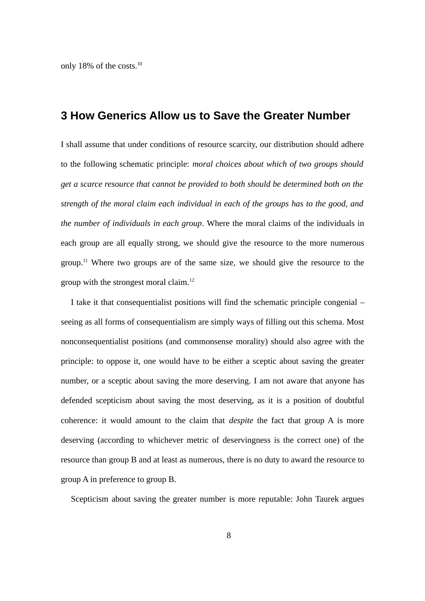only 18% of the costs. $^{10}$ 

## <span id="page-7-0"></span>**3 How Generics Allow us to Save the Greater Number**

I shall assume that under conditions of resource scarcity, our distribution should adhere to the following schematic principle: *moral choices about which of two groups should get a scarce resource that cannot be provided to both should be determined both on the strength of the moral claim each individual in each of the groups has to the good, and the number of individuals in each group*. Where the moral claims of the individuals in each group are all equally strong, we should give the resource to the more numerous group.<sup>11</sup> Where two groups are of the same size, we should give the resource to the group with the strongest moral claim. $^{12}$ 

I take it that consequentialist positions will find the schematic principle congenial – seeing as all forms of consequentialism are simply ways of filling out this schema. Most nonconsequentialist positions (and commonsense morality) should also agree with the principle: to oppose it, one would have to be either a sceptic about saving the greater number, or a sceptic about saving the more deserving. I am not aware that anyone has defended scepticism about saving the most deserving, as it is a position of doubtful coherence: it would amount to the claim that *despite* the fact that group A is more deserving (according to whichever metric of deservingness is the correct one) of the resource than group B and at least as numerous, there is no duty to award the resource to group A in preference to group B.

Scepticism about saving the greater number is more reputable: John Taurek argues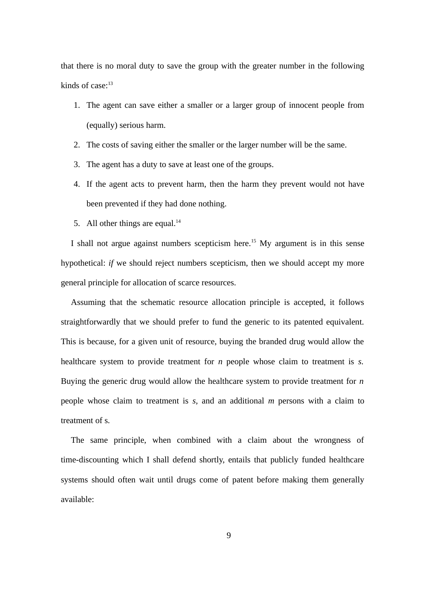that there is no moral duty to save the group with the greater number in the following kinds of case: $13$ 

- 1. The agent can save either a smaller or a larger group of innocent people from (equally) serious harm.
- 2. The costs of saving either the smaller or the larger number will be the same.
- 3. The agent has a duty to save at least one of the groups.
- 4. If the agent acts to prevent harm, then the harm they prevent would not have been prevented if they had done nothing.
- 5. All other things are equal. $^{14}$

I shall not argue against numbers scepticism here.<sup>15</sup> My argument is in this sense hypothetical: *if* we should reject numbers scepticism, then we should accept my more general principle for allocation of scarce resources.

Assuming that the schematic resource allocation principle is accepted, it follows straightforwardly that we should prefer to fund the generic to its patented equivalent. This is because, for a given unit of resource, buying the branded drug would allow the healthcare system to provide treatment for *n* people whose claim to treatment is *s.* Buying the generic drug would allow the healthcare system to provide treatment for *n* people whose claim to treatment is *s,* and an additional *m* persons with a claim to treatment of s*.*

The same principle, when combined with a claim about the wrongness of time-discounting which I shall defend shortly, entails that publicly funded healthcare systems should often wait until drugs come of patent before making them generally available: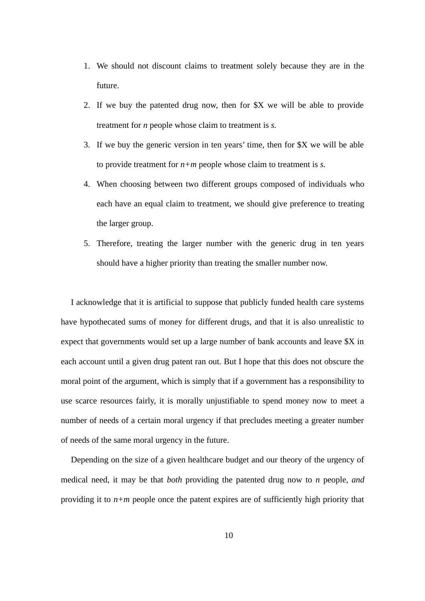- 1. We should not discount claims to treatment solely because they are in the future.
- 2. If we buy the patented drug now, then for \$X we will be able to provide treatment for *n* people whose claim to treatment is *s.*
- 3. If we buy the generic version in ten years' time, then for \$X we will be able to provide treatment for *n+m* people whose claim to treatment is *s.*
- 4. When choosing between two different groups composed of individuals who each have an equal claim to treatment, we should give preference to treating the larger group.
- 5. Therefore, treating the larger number with the generic drug in ten years should have a higher priority than treating the smaller number now.

I acknowledge that it is artificial to suppose that publicly funded health care systems have hypothecated sums of money for different drugs, and that it is also unrealistic to expect that governments would set up a large number of bank accounts and leave \$X in each account until a given drug patent ran out. But I hope that this does not obscure the moral point of the argument, which is simply that if a government has a responsibility to use scarce resources fairly, it is morally unjustifiable to spend money now to meet a number of needs of a certain moral urgency if that precludes meeting a greater number of needs of the same moral urgency in the future.

Depending on the size of a given healthcare budget and our theory of the urgency of medical need, it may be that *both* providing the patented drug now to *n* people, *and* providing it to *n+m* people once the patent expires are of sufficiently high priority that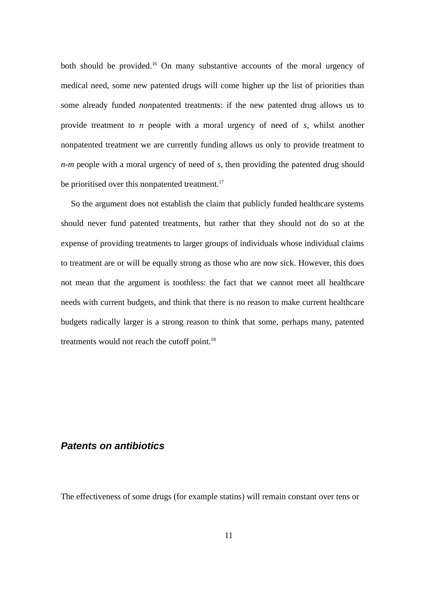both should be provided.<sup>16</sup> On many substantive accounts of the moral urgency of medical need, some new patented drugs will come higher up the list of priorities than some already funded *non*patented treatments: if the new patented drug allows us to provide treatment to *n* people with a moral urgency of need of *s*, whilst another nonpatented treatment we are currently funding allows us only to provide treatment to *n-m* people with a moral urgency of need of *s,* then providing the patented drug should be prioritised over this nonpatented treatment.<sup>17</sup>

So the argument does not establish the claim that publicly funded healthcare systems should never fund patented treatments, but rather that they should not do so at the expense of providing treatments to larger groups of individuals whose individual claims to treatment are or will be equally strong as those who are now sick. However, this does not mean that the argument is toothless: the fact that we cannot meet all healthcare needs with current budgets, and think that there is no reason to make current healthcare budgets radically larger is a strong reason to think that some, perhaps many, patented treatments would not reach the cutoff point. $^{18}$ 

#### <span id="page-10-0"></span>*Patents on antibiotics*

The effectiveness of some drugs (for example statins) will remain constant over tens or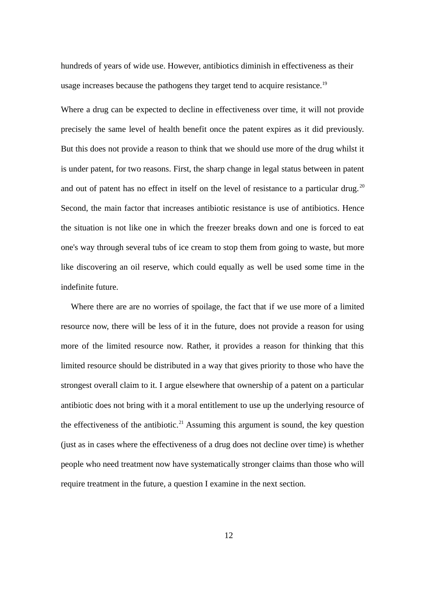hundreds of years of wide use. However, antibiotics diminish in effectiveness as their usage increases because the pathogens they target tend to acquire resistance.<sup>19</sup>

Where a drug can be expected to decline in effectiveness over time, it will not provide precisely the same level of health benefit once the patent expires as it did previously. But this does not provide a reason to think that we should use more of the drug whilst it is under patent, for two reasons. First, the sharp change in legal status between in patent and out of patent has no effect in itself on the level of resistance to a particular drug.<sup>20</sup> Second, the main factor that increases antibiotic resistance is use of antibiotics. Hence the situation is not like one in which the freezer breaks down and one is forced to eat one's way through several tubs of ice cream to stop them from going to waste, but more like discovering an oil reserve, which could equally as well be used some time in the indefinite future.

Where there are are no worries of spoilage, the fact that if we use more of a limited resource now, there will be less of it in the future, does not provide a reason for using more of the limited resource now. Rather, it provides a reason for thinking that this limited resource should be distributed in a way that gives priority to those who have the strongest overall claim to it. I argue elsewhere that ownership of a patent on a particular antibiotic does not bring with it a moral entitlement to use up the underlying resource of the effectiveness of the antibiotic.<sup>21</sup> Assuming this argument is sound, the key question (just as in cases where the effectiveness of a drug does not decline over time) is whether people who need treatment now have systematically stronger claims than those who will require treatment in the future, a question I examine in the next section.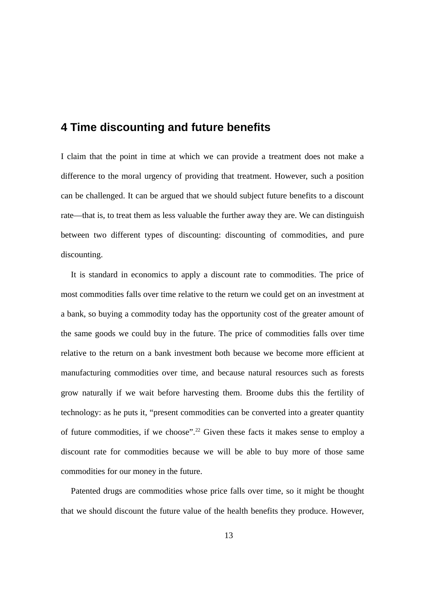## <span id="page-12-0"></span>**4 Time discounting and future benefits**

I claim that the point in time at which we can provide a treatment does not make a difference to the moral urgency of providing that treatment. However, such a position can be challenged. It can be argued that we should subject future benefits to a discount rate—that is, to treat them as less valuable the further away they are. We can distinguish between two different types of discounting: discounting of commodities, and pure discounting.

It is standard in economics to apply a discount rate to commodities. The price of most commodities falls over time relative to the return we could get on an investment at a bank, so buying a commodity today has the opportunity cost of the greater amount of the same goods we could buy in the future. The price of commodities falls over time relative to the return on a bank investment both because we become more efficient at manufacturing commodities over time, and because natural resources such as forests grow naturally if we wait before harvesting them. Broome dubs this the fertility of technology: as he puts it, "present commodities can be converted into a greater quantity of future commodities, if we choose".<sup>22</sup> Given these facts it makes sense to employ a discount rate for commodities because we will be able to buy more of those same commodities for our money in the future.

Patented drugs are commodities whose price falls over time, so it might be thought that we should discount the future value of the health benefits they produce. However,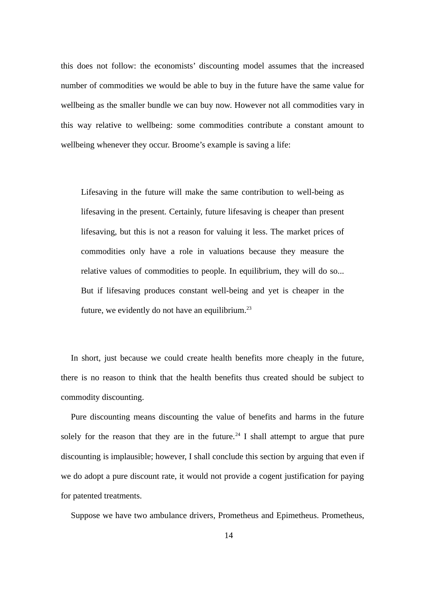this does not follow: the economists' discounting model assumes that the increased number of commodities we would be able to buy in the future have the same value for wellbeing as the smaller bundle we can buy now. However not all commodities vary in this way relative to wellbeing: some commodities contribute a constant amount to wellbeing whenever they occur. Broome's example is saving a life:

Lifesaving in the future will make the same contribution to well-being as lifesaving in the present. Certainly, future lifesaving is cheaper than present lifesaving, but this is not a reason for valuing it less. The market prices of commodities only have a role in valuations because they measure the relative values of commodities to people. In equilibrium, they will do so... But if lifesaving produces constant well-being and yet is cheaper in the future, we evidently do not have an equilibrium. $^{23}$ 

In short, just because we could create health benefits more cheaply in the future, there is no reason to think that the health benefits thus created should be subject to commodity discounting.

Pure discounting means discounting the value of benefits and harms in the future solely for the reason that they are in the future.<sup>24</sup> I shall attempt to argue that pure discounting is implausible; however, I shall conclude this section by arguing that even if we do adopt a pure discount rate, it would not provide a cogent justification for paying for patented treatments.

Suppose we have two ambulance drivers, Prometheus and Epimetheus. Prometheus,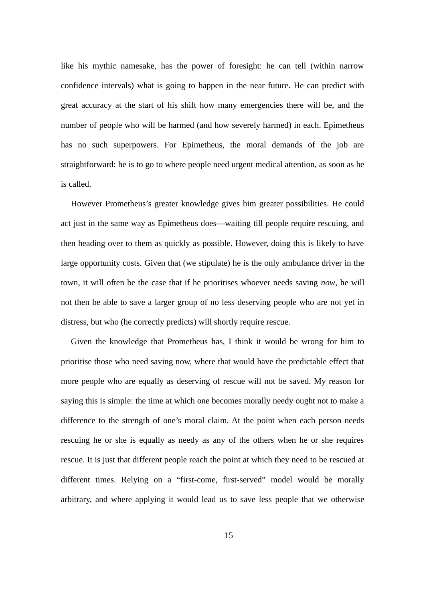like his mythic namesake, has the power of foresight: he can tell (within narrow confidence intervals) what is going to happen in the near future. He can predict with great accuracy at the start of his shift how many emergencies there will be, and the number of people who will be harmed (and how severely harmed) in each. Epimetheus has no such superpowers. For Epimetheus, the moral demands of the job are straightforward: he is to go to where people need urgent medical attention, as soon as he is called.

However Prometheus's greater knowledge gives him greater possibilities. He could act just in the same way as Epimetheus does—waiting till people require rescuing, and then heading over to them as quickly as possible. However, doing this is likely to have large opportunity costs. Given that (we stipulate) he is the only ambulance driver in the town, it will often be the case that if he prioritises whoever needs saving *now*, he will not then be able to save a larger group of no less deserving people who are not yet in distress, but who (he correctly predicts) will shortly require rescue.

Given the knowledge that Prometheus has, I think it would be wrong for him to prioritise those who need saving now, where that would have the predictable effect that more people who are equally as deserving of rescue will not be saved. My reason for saying this is simple: the time at which one becomes morally needy ought not to make a difference to the strength of one's moral claim. At the point when each person needs rescuing he or she is equally as needy as any of the others when he or she requires rescue. It is just that different people reach the point at which they need to be rescued at different times. Relying on a "first-come, first-served" model would be morally arbitrary, and where applying it would lead us to save less people that we otherwise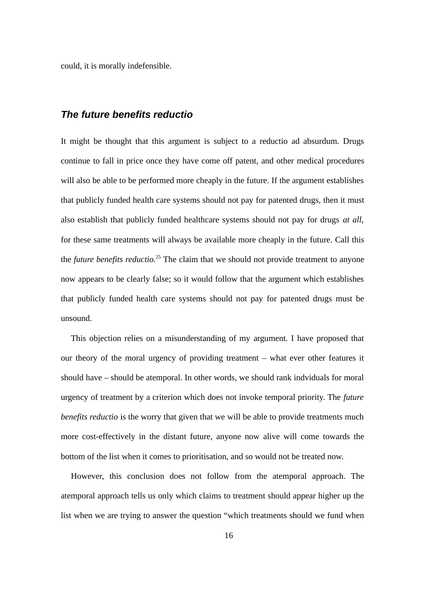could, it is morally indefensible.

#### <span id="page-15-0"></span>*The future benefits reductio*

It might be thought that this argument is subject to a reductio ad absurdum. Drugs continue to fall in price once they have come off patent, and other medical procedures will also be able to be performed more cheaply in the future. If the argument establishes that publicly funded health care systems should not pay for patented drugs, then it must also establish that publicly funded healthcare systems should not pay for drugs *at all,* for these same treatments will always be available more cheaply in the future. Call this the *future benefits reductio.*<sup>25</sup> The claim that we should not provide treatment to anyone now appears to be clearly false; so it would follow that the argument which establishes that publicly funded health care systems should not pay for patented drugs must be unsound.

This objection relies on a misunderstanding of my argument. I have proposed that our theory of the moral urgency of providing treatment – what ever other features it should have – should be atemporal. In other words, we should rank indviduals for moral urgency of treatment by a criterion which does not invoke temporal priority. The *future benefits reductio* is the worry that given that we will be able to provide treatments much more cost-effectively in the distant future, anyone now alive will come towards the bottom of the list when it comes to prioritisation, and so would not be treated now.

However, this conclusion does not follow from the atemporal approach. The atemporal approach tells us only which claims to treatment should appear higher up the list when we are trying to answer the question "which treatments should we fund when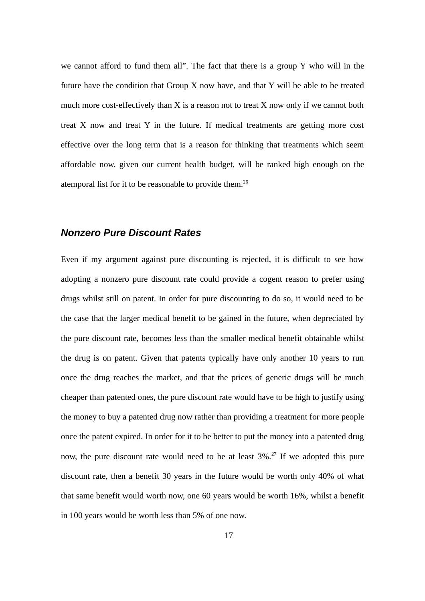we cannot afford to fund them all". The fact that there is a group Y who will in the future have the condition that Group X now have, and that Y will be able to be treated much more cost-effectively than  $X$  is a reason not to treat  $X$  now only if we cannot both treat X now and treat Y in the future. If medical treatments are getting more cost effective over the long term that is a reason for thinking that treatments which seem affordable now, given our current health budget, will be ranked high enough on the atemporal list for it to be reasonable to provide them. $^{26}$ 

#### <span id="page-16-0"></span>*Nonzero Pure Discount Rates*

Even if my argument against pure discounting is rejected, it is difficult to see how adopting a nonzero pure discount rate could provide a cogent reason to prefer using drugs whilst still on patent. In order for pure discounting to do so, it would need to be the case that the larger medical benefit to be gained in the future, when depreciated by the pure discount rate, becomes less than the smaller medical benefit obtainable whilst the drug is on patent. Given that patents typically have only another 10 years to run once the drug reaches the market, and that the prices of generic drugs will be much cheaper than patented ones, the pure discount rate would have to be high to justify using the money to buy a patented drug now rather than providing a treatment for more people once the patent expired. In order for it to be better to put the money into a patented drug now, the pure discount rate would need to be at least  $3\%$ <sup>27</sup> If we adopted this pure discount rate, then a benefit 30 years in the future would be worth only 40% of what that same benefit would worth now, one 60 years would be worth 16%, whilst a benefit in 100 years would be worth less than 5% of one now.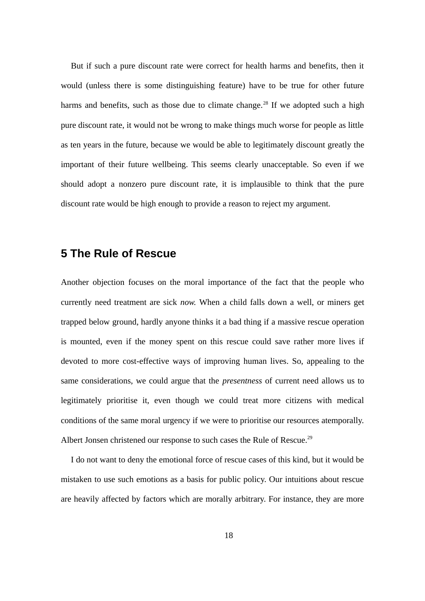But if such a pure discount rate were correct for health harms and benefits, then it would (unless there is some distinguishing feature) have to be true for other future harms and benefits, such as those due to climate change.<sup>28</sup> If we adopted such a high pure discount rate, it would not be wrong to make things much worse for people as little as ten years in the future, because we would be able to legitimately discount greatly the important of their future wellbeing. This seems clearly unacceptable. So even if we should adopt a nonzero pure discount rate, it is implausible to think that the pure discount rate would be high enough to provide a reason to reject my argument.

## <span id="page-17-0"></span>**5 The Rule of Rescue**

Another objection focuses on the moral importance of the fact that the people who currently need treatment are sick *now.* When a child falls down a well, or miners get trapped below ground, hardly anyone thinks it a bad thing if a massive rescue operation is mounted, even if the money spent on this rescue could save rather more lives if devoted to more cost-effective ways of improving human lives. So, appealing to the same considerations, we could argue that the *presentness* of current need allows us to legitimately prioritise it, even though we could treat more citizens with medical conditions of the same moral urgency if we were to prioritise our resources atemporally. Albert Jonsen christened our response to such cases the Rule of Rescue.<sup>29</sup>

I do not want to deny the emotional force of rescue cases of this kind, but it would be mistaken to use such emotions as a basis for public policy. Our intuitions about rescue are heavily affected by factors which are morally arbitrary. For instance, they are more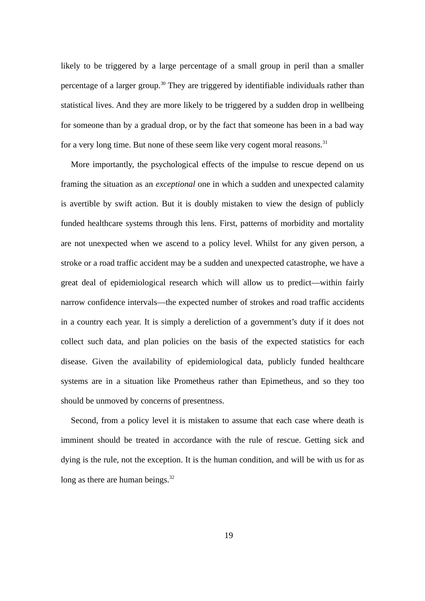likely to be triggered by a large percentage of a small group in peril than a smaller percentage of a larger group.<sup>30</sup> They are triggered by identifiable individuals rather than statistical lives. And they are more likely to be triggered by a sudden drop in wellbeing for someone than by a gradual drop, or by the fact that someone has been in a bad way for a very long time. But none of these seem like very cogent moral reasons. $31$ 

More importantly, the psychological effects of the impulse to rescue depend on us framing the situation as an *exceptional* one in which a sudden and unexpected calamity is avertible by swift action. But it is doubly mistaken to view the design of publicly funded healthcare systems through this lens. First, patterns of morbidity and mortality are not unexpected when we ascend to a policy level. Whilst for any given person, a stroke or a road traffic accident may be a sudden and unexpected catastrophe, we have a great deal of epidemiological research which will allow us to predict—within fairly narrow confidence intervals—the expected number of strokes and road traffic accidents in a country each year. It is simply a dereliction of a government's duty if it does not collect such data, and plan policies on the basis of the expected statistics for each disease. Given the availability of epidemiological data, publicly funded healthcare systems are in a situation like Prometheus rather than Epimetheus, and so they too should be unmoved by concerns of presentness.

Second, from a policy level it is mistaken to assume that each case where death is imminent should be treated in accordance with the rule of rescue. Getting sick and dying is the rule, not the exception. It is the human condition, and will be with us for as long as there are human beings. $32$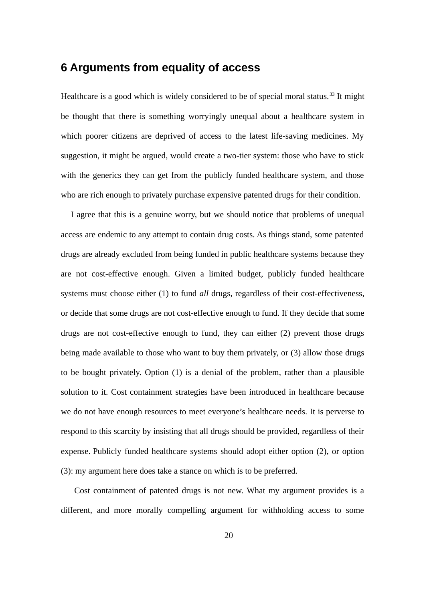# <span id="page-19-0"></span>**6 Arguments from equality of access**

Healthcare is a good which is widely considered to be of special moral status.<sup>33</sup> It might be thought that there is something worryingly unequal about a healthcare system in which poorer citizens are deprived of access to the latest life-saving medicines. My suggestion, it might be argued, would create a two-tier system: those who have to stick with the generics they can get from the publicly funded healthcare system, and those who are rich enough to privately purchase expensive patented drugs for their condition.

I agree that this is a genuine worry, but we should notice that problems of unequal access are endemic to any attempt to contain drug costs. As things stand, some patented drugs are already excluded from being funded in public healthcare systems because they are not cost-effective enough. Given a limited budget, publicly funded healthcare systems must choose either (1) to fund *all* drugs, regardless of their cost-effectiveness, or decide that some drugs are not cost-effective enough to fund. If they decide that some drugs are not cost-effective enough to fund, they can either (2) prevent those drugs being made available to those who want to buy them privately, or (3) allow those drugs to be bought privately. Option (1) is a denial of the problem, rather than a plausible solution to it. Cost containment strategies have been introduced in healthcare because we do not have enough resources to meet everyone's healthcare needs. It is perverse to respond to this scarcity by insisting that all drugs should be provided, regardless of their expense. Publicly funded healthcare systems should adopt either option (2), or option (3): my argument here does take a stance on which is to be preferred.

 Cost containment of patented drugs is not new. What my argument provides is a different, and more morally compelling argument for withholding access to some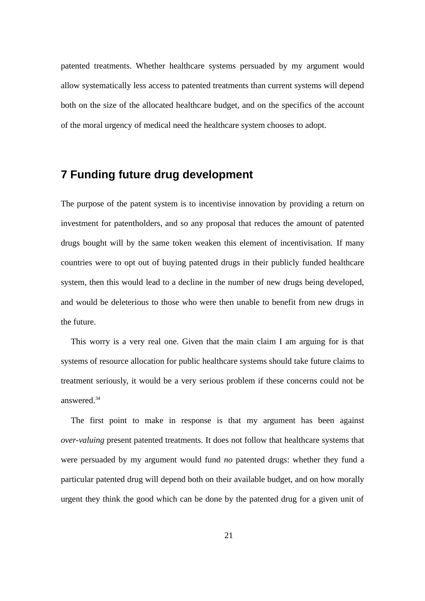patented treatments. Whether healthcare systems persuaded by my argument would allow systematically less access to patented treatments than current systems will depend both on the size of the allocated healthcare budget, and on the specifics of the account of the moral urgency of medical need the healthcare system chooses to adopt.

# <span id="page-20-0"></span>**7 Funding future drug development**

The purpose of the patent system is to incentivise innovation by providing a return on investment for patentholders, and so any proposal that reduces the amount of patented drugs bought will by the same token weaken this element of incentivisation. If many countries were to opt out of buying patented drugs in their publicly funded healthcare system, then this would lead to a decline in the number of new drugs being developed, and would be deleterious to those who were then unable to benefit from new drugs in the future.

This worry is a very real one. Given that the main claim I am arguing for is that systems of resource allocation for public healthcare systems should take future claims to treatment seriously, it would be a very serious problem if these concerns could not be answered. $^{34}$ 

The first point to make in response is that my argument has been against *over-valuing* present patented treatments. It does not follow that healthcare systems that were persuaded by my argument would fund *no* patented drugs: whether they fund a particular patented drug will depend both on their available budget, and on how morally urgent they think the good which can be done by the patented drug for a given unit of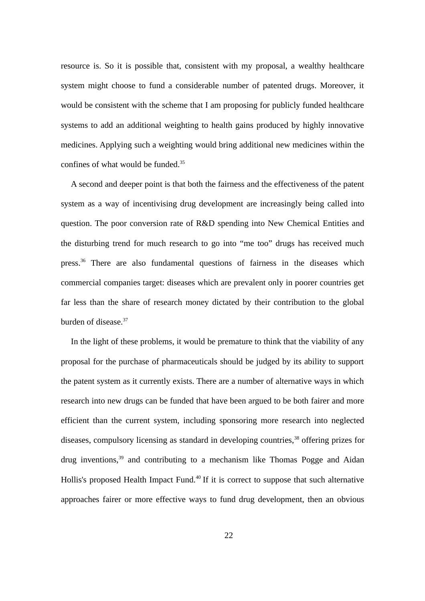resource is. So it is possible that, consistent with my proposal, a wealthy healthcare system might choose to fund a considerable number of patented drugs. Moreover, it would be consistent with the scheme that I am proposing for publicly funded healthcare systems to add an additional weighting to health gains produced by highly innovative medicines. Applying such a weighting would bring additional new medicines within the confines of what would be funded.<sup>35</sup>

A second and deeper point is that both the fairness and the effectiveness of the patent system as a way of incentivising drug development are increasingly being called into question. The poor conversion rate of R&D spending into New Chemical Entities and the disturbing trend for much research to go into "me too" drugs has received much press.<sup>36</sup> There are also fundamental questions of fairness in the diseases which commercial companies target: diseases which are prevalent only in poorer countries get far less than the share of research money dictated by their contribution to the global burden of disease.<sup>37</sup>

In the light of these problems, it would be premature to think that the viability of any proposal for the purchase of pharmaceuticals should be judged by its ability to support the patent system as it currently exists. There are a number of alternative ways in which research into new drugs can be funded that have been argued to be both fairer and more efficient than the current system, including sponsoring more research into neglected diseases, compulsory licensing as standard in developing countries,<sup>38</sup> offering prizes for drug inventions, $39$  and contributing to a mechanism like Thomas Pogge and Aidan Hollis's proposed Health Impact Fund.<sup>40</sup> If it is correct to suppose that such alternative approaches fairer or more effective ways to fund drug development, then an obvious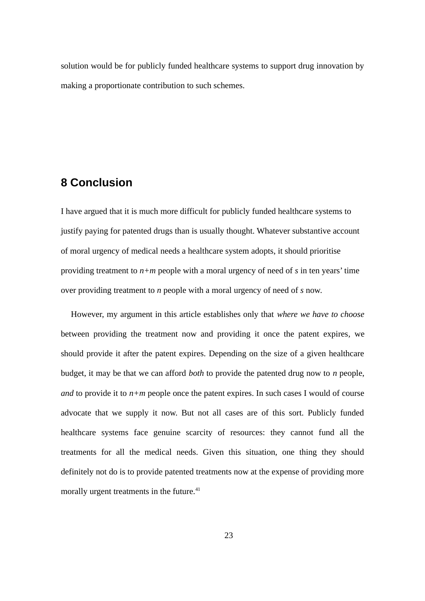solution would be for publicly funded healthcare systems to support drug innovation by making a proportionate contribution to such schemes.

# <span id="page-22-0"></span>**8 Conclusion**

I have argued that it is much more difficult for publicly funded healthcare systems to justify paying for patented drugs than is usually thought. Whatever substantive account of moral urgency of medical needs a healthcare system adopts, it should prioritise providing treatment to *n+m* people with a moral urgency of need of *s* in ten years' time over providing treatment to *n* people with a moral urgency of need of *s* now.

However, my argument in this article establishes only that *where we have to choose* between providing the treatment now and providing it once the patent expires*,* we should provide it after the patent expires. Depending on the size of a given healthcare budget, it may be that we can afford *both* to provide the patented drug now to *n* people, *and* to provide it to *n+m* people once the patent expires. In such cases I would of course advocate that we supply it now. But not all cases are of this sort. Publicly funded healthcare systems face genuine scarcity of resources: they cannot fund all the treatments for all the medical needs. Given this situation, one thing they should definitely not do is to provide patented treatments now at the expense of providing more morally urgent treatments in the future.<sup>41</sup>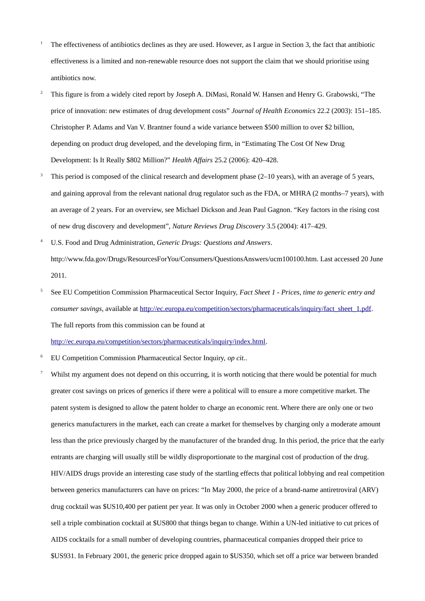- <sup>1</sup> The effectiveness of antibiotics declines as they are used. However, as I argue in Section 3, the fact that antibiotic effectiveness is a limited and non-renewable resource does not support the claim that we should prioritise using antibiotics now.
- <sup>2</sup> This figure is from a widely cited report by Joseph A. DiMasi, Ronald W. Hansen and Henry G. Grabowski, "The price of innovation: new estimates of drug development costs" *Journal of Health Economics* 22.2 (2003): 151–185. Christopher P. Adams and Van V. Brantner found a wide variance between \$500 million to over \$2 billion, depending on product drug developed, and the developing firm, in "Estimating The Cost Of New Drug Development: Is It Really \$802 Million?" *Health Affairs* 25.2 (2006): 420–428.
- <sup>3</sup> This period is composed of the clinical research and development phase (2–10 years), with an average of 5 years, and gaining approval from the relevant national drug regulator such as the FDA, or MHRA (2 months–7 years), with an average of 2 years. For an overview, see Michael Dickson and Jean Paul Gagnon. "Key factors in the rising cost of new drug discovery and development", *Nature Reviews Drug Discovery* 3.5 (2004): 417–429.
- <sup>4</sup> U.S. Food and Drug Administration, *Generic Drugs: Questions and Answers*. http://www.fda.gov/Drugs/ResourcesForYou/Consumers/QuestionsAnswers/ucm100100.htm. Last accessed 20 June 2011.
- <sup>5</sup> See EU Competition Commission Pharmaceutical Sector Inquiry, *Fact Sheet 1 Prices, time to generic entry and consumer savings*, available at [http://ec.europa.eu/competition/sectors/pharmaceuticals/inquiry/fact\\_sheet\\_1.pdf.](http://ec.europa.eu/competition/sectors/pharmaceuticals/inquiry/fact_sheet_1.pdf) The full reports from this commission can be found at

[http://ec.europa.eu/competition/sectors/pharmaceuticals/inquiry/index.html.](http://ec.europa.eu/competition/sectors/pharmaceuticals/inquiry/index.html)

<sup>6</sup> EU Competition Commission Pharmaceutical Sector Inquiry, *op cit.*.

Whilst my argument does not depend on this occurring, it is worth noticing that there would be potential for much greater cost savings on prices of generics if there were a political will to ensure a more competitive market. The patent system is designed to allow the patent holder to charge an economic rent. Where there are only one or two generics manufacturers in the market, each can create a market for themselves by charging only a moderate amount less than the price previously charged by the manufacturer of the branded drug. In this period, the price that the early entrants are charging will usually still be wildly disproportionate to the marginal cost of production of the drug. HIV/AIDS drugs provide an interesting case study of the startling effects that political lobbying and real competition between generics manufacturers can have on prices: "In May 2000, the price of a brand-name antiretroviral (ARV) drug cocktail was \$US10,400 per patient per year. It was only in October 2000 when a generic producer offered to sell a triple combination cocktail at \$US800 that things began to change. Within a UN-led initiative to cut prices of AIDS cocktails for a small number of developing countries, pharmaceutical companies dropped their price to \$US931. In February 2001, the generic price dropped again to \$US350, which set off a price war between branded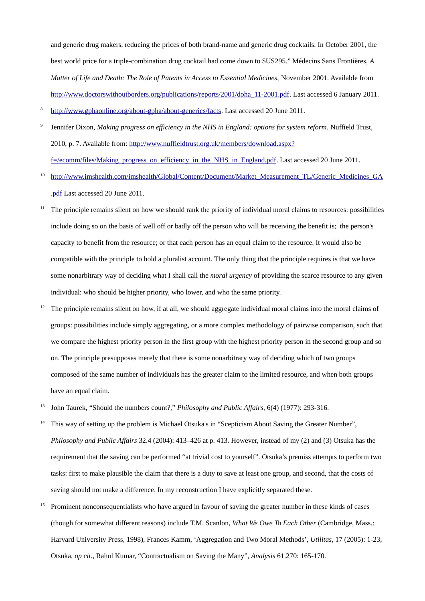and generic drug makers, reducing the prices of both brand-name and generic drug cocktails. In October 2001, the best world price for a triple-combination drug cocktail had come down to \$US295." Médecins Sans Frontières, *A Matter of Life and Death: The Role of Patents in Access to Essential Medicines,* November 2001. Available from [http://www.doctorswithoutborders.org/publications/reports/2001/doha\\_11-2001.pdf.](http://www.doctorswithoutborders.org/publications/reports/2001/doha_11-2001.pdf) Last accessed 6 January 2011.

- 8  [http://www.gphaonline.org/about-gpha/about-generics/facts.](http://www.gphaonline.org/about-gpha/about-generics/facts) Last accessed 20 June 2011.
- 9 Jennifer Dixon, *Making progress on efficiency in the NHS in England: options for system reform*. Nuffield Trust, 2010, p. 7. Available from: [http://www.nuffieldtrust.org.uk/members/download.aspx?](http://www.nuffieldtrust.org.uk/members/download.aspx?f=/ecomm/files/Making_progress_on_efficiency_in_the_NHS_in_England.pdf) [f=/ecomm/files/Making\\_progress\\_on\\_efficiency\\_in\\_the\\_NHS\\_in\\_England.pdf.](http://www.nuffieldtrust.org.uk/members/download.aspx?f=/ecomm/files/Making_progress_on_efficiency_in_the_NHS_in_England.pdf) Last accessed 20 June 2011.
- 10 http://www.imshealth.com/imshealth/Global/Content/Document/Market\_Measurement\_TL/Generic\_Medicines\_GA [.pdf](http://www.imshealth.com/imshealth/Global/Content/Document/Market_Measurement_TL/Generic_Medicines_GA.pdf) Last accessed 20 June 2011.
- $11$  The principle remains silent on how we should rank the priority of individual moral claims to resources: possibilities include doing so on the basis of well off or badly off the person who will be receiving the benefit is; the person's capacity to benefit from the resource; or that each person has an equal claim to the resource. It would also be compatible with the principle to hold a pluralist account. The only thing that the principle requires is that we have some nonarbitrary way of deciding what I shall call the *moral urgency* of providing the scarce resource to any given individual: who should be higher priority, who lower, and who the same priority.
- $12$  The principle remains silent on how, if at all, we should aggregate individual moral claims into the moral claims of groups: possibilities include simply aggregating, or a more complex methodology of pairwise comparison, such that we compare the highest priority person in the first group with the highest priority person in the second group and so on. The principle presupposes merely that there is some nonarbitrary way of deciding which of two groups composed of the same number of individuals has the greater claim to the limited resource, and when both groups have an equal claim.
- <sup>13</sup> John Taurek, "Should the numbers count?," *Philosophy and Public Affairs,* 6(4) (1977): 293-316.
- <sup>14</sup> This way of setting up the problem is Michael Otsuka's in "Scepticism About Saving the Greater Number", *Philosophy and Public Affairs* 32.4 (2004): 413–426 at p. 413. However, instead of my (2) and (3) Otsuka has the requirement that the saving can be performed "at trivial cost to yourself". Otsuka's premiss attempts to perform two tasks: first to make plausible the claim that there is a duty to save at least one group, and second, that the costs of saving should not make a difference. In my reconstruction I have explicitly separated these.
- <sup>15</sup> Prominent nonconsequentialists who have argued in favour of saving the greater number in these kinds of cases (though for somewhat different reasons) include T.M. Scanlon, *What We Owe To Each Other* (Cambridge, Mass.: Harvard University Press, 1998), Frances Kamm, 'Aggregation and Two Moral Methods', *Utilitas*, 17 (2005): 1-23, Otsuka, *op cit.*, Rahul Kumar, "Contractualism on Saving the Many", *Analysis* 61.270: 165-170.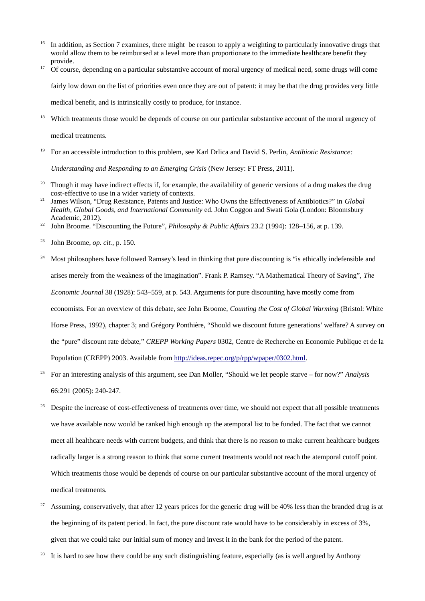- <sup>16</sup> In addition, as Section 7 examines, there might be reason to apply a weighting to particularly innovative drugs that would allow them to be reimbursed at a level more than proportionate to the immediate healthcare benefit they provide.
- $17$  Of course, depending on a particular substantive account of moral urgency of medical need, some drugs will come

fairly low down on the list of priorities even once they are out of patent: it may be that the drug provides very little

medical benefit, and is intrinsically costly to produce, for instance.

- <sup>18</sup> Which treatments those would be depends of course on our particular substantive account of the moral urgency of medical treatments.
- <sup>19</sup> For an accessible introduction to this problem, see Karl Drlica and David S. Perlin, *Antibiotic Resistance:*

*Understanding and Responding to an Emerging Crisis* (New Jersey: FT Press, 2011).

- <sup>20</sup> Though it may have indirect effects if, for example, the availability of generic versions of a drug makes the drug cost-effective to use in a wider variety of contexts.
- <sup>21</sup> James Wilson, "Drug Resistance, Patents and Justice: Who Owns the Effectiveness of Antibiotics?" in *Global Health, Global Goods, and International Community* ed. John Coggon and Swati Gola (London: Bloomsbury Academic, 2012).
- <sup>22</sup> John Broome. "Discounting the Future", *Philosophy & Public Affairs* 23.2 (1994): 128–156, at p. 139.
- <sup>23</sup> John Broome, *op. cit.*, p. 150.
- <sup>24</sup> Most philosophers have followed Ramsey's lead in thinking that pure discounting is "is ethically indefensible and arises merely from the weakness of the imagination". Frank P. Ramsey. "A Mathematical Theory of Saving", *The Economic Journal* 38 (1928): 543–559, at p. 543. Arguments for pure discounting have mostly come from economists. For an overview of this debate, see John Broome, *Counting the Cost of Global Warming* (Bristol: White Horse Press, 1992), chapter 3; and Grégory Ponthière, "Should we discount future generations' welfare? A survey on the "pure" discount rate debate," *CREPP Working Papers* 0302, Centre de Recherche en Economie Publique et de la Population (CREPP) 2003. Available from [http://ideas.repec.org/p/rpp/wpaper/0302.html.](http://ideas.repec.org/p/rpp/wpaper/0302.html)
- <sup>25</sup> For an interesting analysis of this argument, see Dan Moller, "Should we let people starve for now?" *Analysis*  66:291 (2005): 240-247.
- <sup>26</sup> Despite the increase of cost-effectiveness of treatments over time, we should not expect that all possible treatments we have available now would be ranked high enough up the atemporal list to be funded. The fact that we cannot meet all healthcare needs with current budgets, and think that there is no reason to make current healthcare budgets radically larger is a strong reason to think that some current treatments would not reach the atemporal cutoff point. Which treatments those would be depends of course on our particular substantive account of the moral urgency of medical treatments.
- <sup>27</sup> Assuming, conservatively, that after 12 years prices for the generic drug will be 40% less than the branded drug is at the beginning of its patent period. In fact, the pure discount rate would have to be considerably in excess of 3%, given that we could take our initial sum of money and invest it in the bank for the period of the patent.
- It is hard to see how there could be any such distinguishing feature, especially (as is well argued by Anthony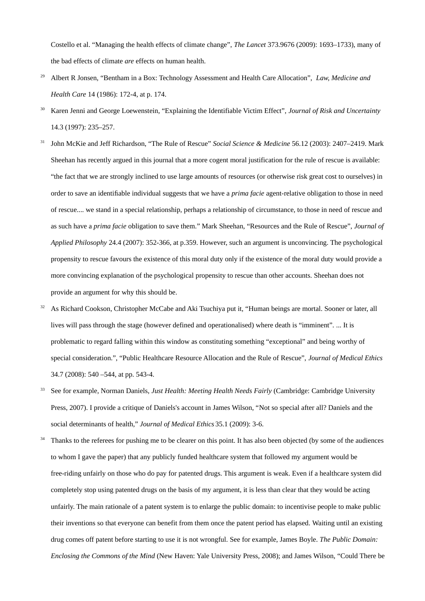Costello et al. "Managing the health effects of climate change", *The Lancet* 373.9676 (2009): 1693–1733), many of the bad effects of climate *are* effects on human health.

- <sup>29</sup> Albert R Jonsen, "Bentham in a Box: Technology Assessment and Health Care Allocation", *Law, Medicine and Health Care* 14 (1986): 172-4, at p. 174.
- <sup>30</sup> Karen Jenni and George Loewenstein, "Explaining the Identifiable Victim Effect", *Journal of Risk and Uncertainty* 14.3 (1997): 235–257.
- <sup>31</sup> John McKie and Jeff Richardson, "The Rule of Rescue" *Social Science & Medicine* 56.12 (2003): 2407–2419. Mark Sheehan has recently argued in this journal that a more cogent moral justification for the rule of rescue is available: "the fact that we are strongly inclined to use large amounts of resources (or otherwise risk great cost to ourselves) in order to save an identifiable individual suggests that we have a *prima facie* agent-relative obligation to those in need of rescue.... we stand in a special relationship, perhaps a relationship of circumstance, to those in need of rescue and as such have a *prima facie* obligation to save them." Mark Sheehan, "Resources and the Rule of Rescue", *Journal of Applied Philosophy* 24.4 (2007): 352-366, at p.359. However, such an argument is unconvincing. The psychological propensity to rescue favours the existence of this moral duty only if the existence of the moral duty would provide a more convincing explanation of the psychological propensity to rescue than other accounts. Sheehan does not provide an argument for why this should be.
- <sup>32</sup> As Richard Cookson, Christopher McCabe and Aki Tsuchiya put it, "Human beings are mortal. Sooner or later, all lives will pass through the stage (however defined and operationalised) where death is "imminent". ... It is problematic to regard falling within this window as constituting something "exceptional" and being worthy of special consideration.", "Public Healthcare Resource Allocation and the Rule of Rescue", *Journal of Medical Ethics* 34.7 (2008): 540 –544, at pp. 543-4.
- <sup>33</sup> See for example, Norman Daniels, *Just Health: Meeting Health Needs Fairly* (Cambridge: Cambridge University Press, 2007). I provide a critique of Daniels's account in James Wilson, "Not so special after all? Daniels and the social determinants of health," *Journal of Medical Ethics* 35.1 (2009): 3-6.
- <sup>34</sup> Thanks to the referees for pushing me to be clearer on this point. It has also been objected (by some of the audiences to whom I gave the paper) that any publicly funded healthcare system that followed my argument would be free-riding unfairly on those who do pay for patented drugs. This argument is weak. Even if a healthcare system did completely stop using patented drugs on the basis of my argument, it is less than clear that they would be acting unfairly. The main rationale of a patent system is to enlarge the public domain: to incentivise people to make public their inventions so that everyone can benefit from them once the patent period has elapsed. Waiting until an existing drug comes off patent before starting to use it is not wrongful. See for example, James Boyle. *The Public Domain: Enclosing the Commons of the Mind* (New Haven: Yale University Press, 2008); and James Wilson, "Could There be